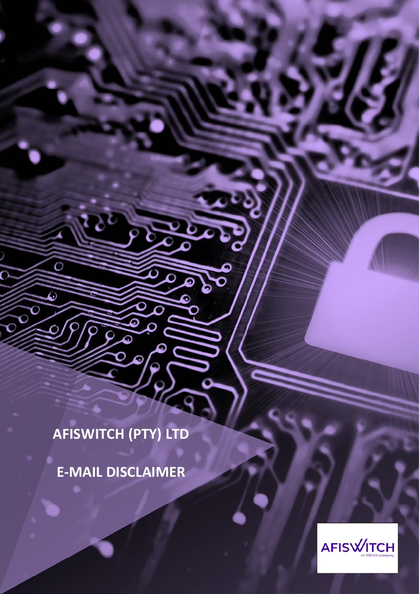**AFISWITCH (PTY) LTD**

১

O

٥

O Ō

**E-MAIL DISCLAIMER**

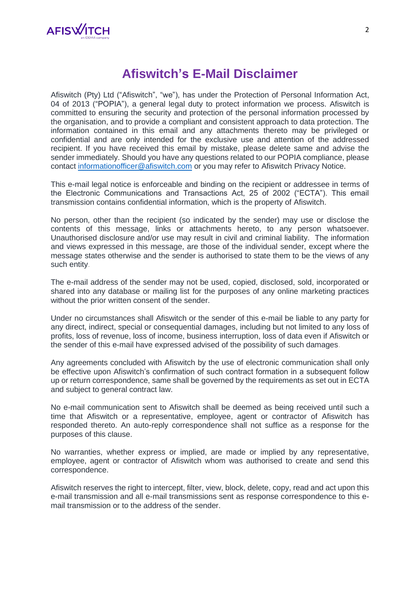

## **Afiswitch's E-Mail Disclaimer**

Afiswitch (Pty) Ltd ("Afiswitch", "we"), has under the Protection of Personal Information Act, 04 of 2013 ("POPIA"), a general legal duty to protect information we process. Afiswitch is committed to ensuring the security and protection of the personal information processed by the organisation, and to provide a compliant and consistent approach to data protection. The information contained in this email and any attachments thereto may be privileged or confidential and are only intended for the exclusive use and attention of the addressed recipient. If you have received this email by mistake, please delete same and advise the sender immediately. Should you have any questions related to our POPIA compliance, please contact [informationofficer@afiswitch.com](mailto:informationofficer@afiswitch.com) or you may refer to Afiswitch Privacy Notice.

This e-mail legal notice is enforceable and binding on the recipient or addressee in terms of the Electronic Communications and Transactions Act, 25 of 2002 ("ECTA"). This email transmission contains confidential information, which is the property of Afiswitch.

No person, other than the recipient (so indicated by the sender) may use or disclose the contents of this message, links or attachments hereto, to any person whatsoever. Unauthorised disclosure and/or use may result in civil and criminal liability. The information and views expressed in this message, are those of the individual sender, except where the message states otherwise and the sender is authorised to state them to be the views of any such entity.

The e-mail address of the sender may not be used, copied, disclosed, sold, incorporated or shared into any database or mailing list for the purposes of any online marketing practices without the prior written consent of the sender.

Under no circumstances shall Afiswitch or the sender of this e-mail be liable to any party for any direct, indirect, special or consequential damages, including but not limited to any loss of profits, loss of revenue, loss of income, business interruption, loss of data even if Afiswitch or the sender of this e-mail have expressed advised of the possibility of such damages.

Any agreements concluded with Afiswitch by the use of electronic communication shall only be effective upon Afiswitch's confirmation of such contract formation in a subsequent follow up or return correspondence, same shall be governed by the requirements as set out in ECTA and subject to general contract law.

No e-mail communication sent to Afiswitch shall be deemed as being received until such a time that Afiswitch or a representative, employee, agent or contractor of Afiswitch has responded thereto. An auto-reply correspondence shall not suffice as a response for the purposes of this clause.

No warranties, whether express or implied, are made or implied by any representative, employee, agent or contractor of Afiswitch whom was authorised to create and send this correspondence.

Afiswitch reserves the right to intercept, filter, view, block, delete, copy, read and act upon this e-mail transmission and all e-mail transmissions sent as response correspondence to this email transmission or to the address of the sender.